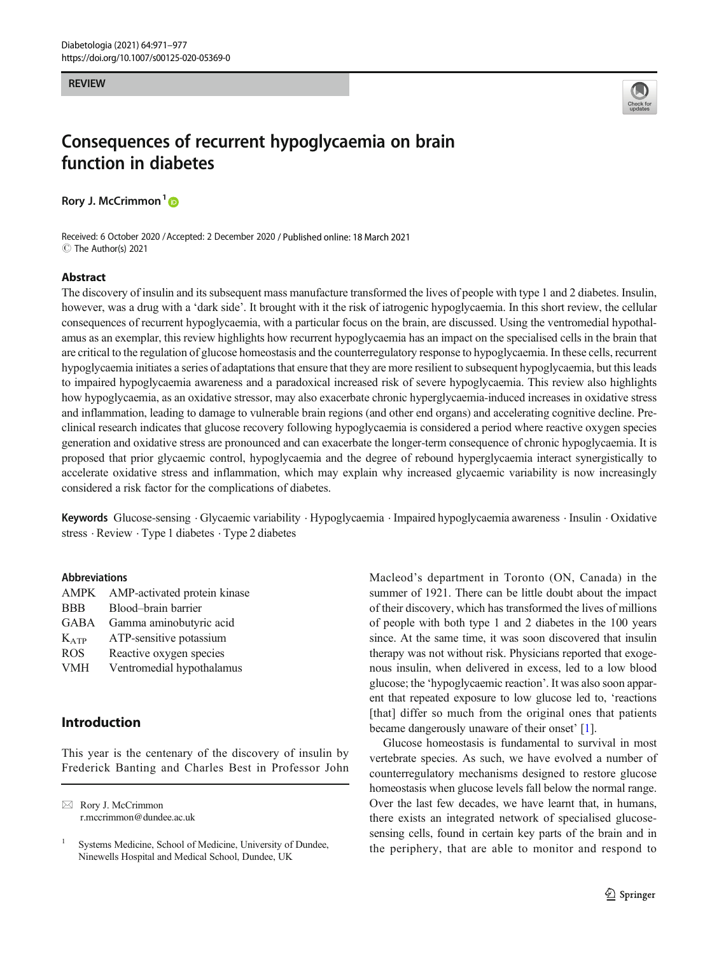#### <span id="page-0-0"></span>**REVIEW**



# Consequences of recurrent hypoglycaemia on brain function in diabetes

Rory J. McCrimmon<sup>1</sup><sup>o</sup>

Received: 6 October 2020 /Accepted: 2 December 2020 / Published online: 18 March 2021 C The Author(s) 2021

#### Abstract

The discovery of insulin and its subsequent mass manufacture transformed the lives of people with type 1 and 2 diabetes. Insulin, however, was a drug with a 'dark side'. It brought with it the risk of iatrogenic hypoglycaemia. In this short review, the cellular consequences of recurrent hypoglycaemia, with a particular focus on the brain, are discussed. Using the ventromedial hypothalamus as an exemplar, this review highlights how recurrent hypoglycaemia has an impact on the specialised cells in the brain that are critical to the regulation of glucose homeostasis and the counterregulatory response to hypoglycaemia. In these cells, recurrent hypoglycaemia initiates a series of adaptations that ensure that they are more resilient to subsequent hypoglycaemia, but this leads to impaired hypoglycaemia awareness and a paradoxical increased risk of severe hypoglycaemia. This review also highlights how hypoglycaemia, as an oxidative stressor, may also exacerbate chronic hyperglycaemia-induced increases in oxidative stress and inflammation, leading to damage to vulnerable brain regions (and other end organs) and accelerating cognitive decline. Preclinical research indicates that glucose recovery following hypoglycaemia is considered a period where reactive oxygen species generation and oxidative stress are pronounced and can exacerbate the longer-term consequence of chronic hypoglycaemia. It is proposed that prior glycaemic control, hypoglycaemia and the degree of rebound hyperglycaemia interact synergistically to accelerate oxidative stress and inflammation, which may explain why increased glycaemic variability is now increasingly considered a risk factor for the complications of diabetes.

Keywords Glucose-sensing . Glycaemic variability . Hypoglycaemia . Impaired hypoglycaemia awareness . Insulin . Oxidative stress · Review · Type 1 diabetes · Type 2 diabetes

#### Abbreviations

| AMPK        | AMP-activated protein kinase |
|-------------|------------------------------|
| <b>BBB</b>  | Blood-brain barrier          |
| <b>GABA</b> | Gamma aminobutyric acid      |
| $K_{ATP}$   | ATP-sensitive potassium      |
| <b>ROS</b>  | Reactive oxygen species      |
| <b>VMH</b>  | Ventromedial hypothalamus    |
|             |                              |

## Introduction

This year is the centenary of the discovery of insulin by Frederick Banting and Charles Best in Professor John Macleod's department in Toronto (ON, Canada) in the summer of 1921. There can be little doubt about the impact of their discovery, which has transformed the lives of millions of people with both type 1 and 2 diabetes in the 100 years since. At the same time, it was soon discovered that insulin therapy was not without risk. Physicians reported that exogenous insulin, when delivered in excess, led to a low blood glucose; the 'hypoglycaemic reaction'. It was also soon apparent that repeated exposure to low glucose led to, 'reactions [that] differ so much from the original ones that patients became dangerously unaware of their onset' [\[1](#page-5-0)].

Glucose homeostasis is fundamental to survival in most vertebrate species. As such, we have evolved a number of counterregulatory mechanisms designed to restore glucose homeostasis when glucose levels fall below the normal range. Over the last few decades, we have learnt that, in humans, there exists an integrated network of specialised glucosesensing cells, found in certain key parts of the brain and in the periphery, that are able to monitor and respond to

 $\boxtimes$  Rory J. McCrimmon [r.mccrimmon@dundee.ac.uk](mailto:r.mccrimmon@dundee.ac.uk)

<sup>&</sup>lt;sup>1</sup> Systems Medicine, School of Medicine, University of Dundee, Ninewells Hospital and Medical School, Dundee, UK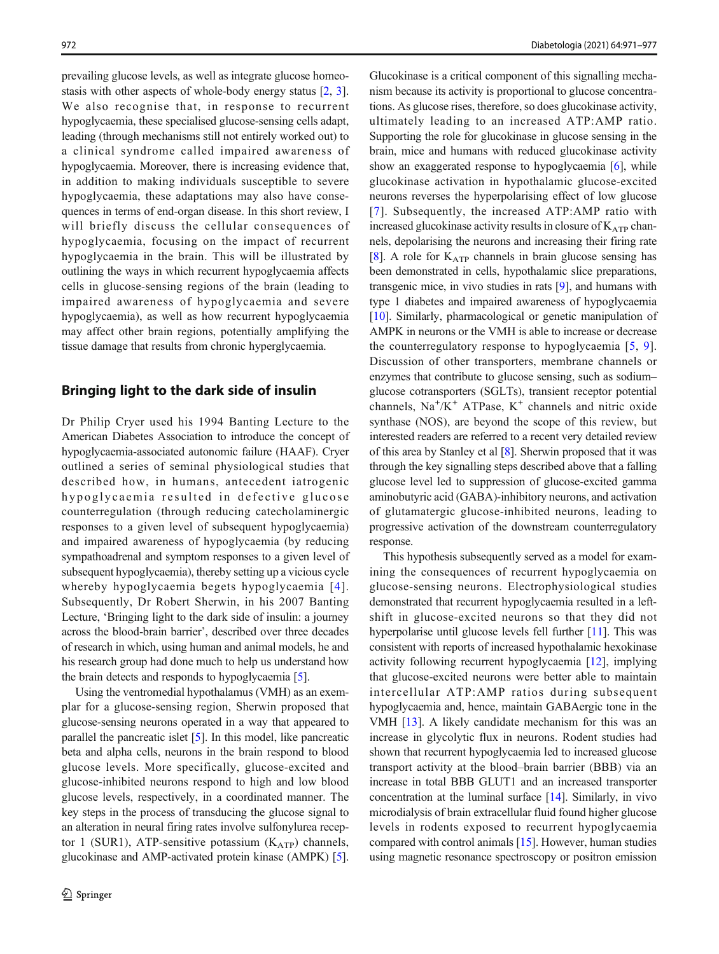prevailing glucose levels, as well as integrate glucose homeostasis with other aspects of whole-body energy status [\[2,](#page-5-0) [3\]](#page-5-0). We also recognise that, in response to recurrent hypoglycaemia, these specialised glucose-sensing cells adapt, leading (through mechanisms still not entirely worked out) to a clinical syndrome called impaired awareness of hypoglycaemia. Moreover, there is increasing evidence that, in addition to making individuals susceptible to severe hypoglycaemia, these adaptations may also have consequences in terms of end-organ disease. In this short review, I will briefly discuss the cellular consequences of hypoglycaemia, focusing on the impact of recurrent hypoglycaemia in the brain. This will be illustrated by outlining the ways in which recurrent hypoglycaemia affects cells in glucose-sensing regions of the brain (leading to impaired awareness of hypoglycaemia and severe hypoglycaemia), as well as how recurrent hypoglycaemia may affect other brain regions, potentially amplifying the tissue damage that results from chronic hyperglycaemia.

### Bringing light to the dark side of insulin

Dr Philip Cryer used his 1994 Banting Lecture to the American Diabetes Association to introduce the concept of hypoglycaemia-associated autonomic failure (HAAF). Cryer outlined a series of seminal physiological studies that described how, in humans, antecedent iatrogenic hypoglycaemia resulted in defective glucose counterregulation (through reducing catecholaminergic responses to a given level of subsequent hypoglycaemia) and impaired awareness of hypoglycaemia (by reducing sympathoadrenal and symptom responses to a given level of subsequent hypoglycaemia), thereby setting up a vicious cycle whereby hypoglycaemia begets hypoglycaemia [[4\]](#page-5-0). Subsequently, Dr Robert Sherwin, in his 2007 Banting Lecture, 'Bringing light to the dark side of insulin: a journey across the blood-brain barrier', described over three decades of research in which, using human and animal models, he and his research group had done much to help us understand how the brain detects and responds to hypoglycaemia [\[5](#page-5-0)].

Using the ventromedial hypothalamus (VMH) as an exemplar for a glucose-sensing region, Sherwin proposed that glucose-sensing neurons operated in a way that appeared to parallel the pancreatic islet [[5](#page-5-0)]. In this model, like pancreatic beta and alpha cells, neurons in the brain respond to blood glucose levels. More specifically, glucose-excited and glucose-inhibited neurons respond to high and low blood glucose levels, respectively, in a coordinated manner. The key steps in the process of transducing the glucose signal to an alteration in neural firing rates involve sulfonylurea receptor 1 (SUR1), ATP-sensitive potassium  $(K_{ATP})$  channels, glucokinase and AMP-activated protein kinase (AMPK) [[5\]](#page-5-0).

Glucokinase is a critical component of this signalling mechanism because its activity is proportional to glucose concentrations. As glucose rises, therefore, so does glucokinase activity, ultimately leading to an increased ATP:AMP ratio. Supporting the role for glucokinase in glucose sensing in the brain, mice and humans with reduced glucokinase activity show an exaggerated response to hypoglycaemia [[6](#page-5-0)], while glucokinase activation in hypothalamic glucose-excited neurons reverses the hyperpolarising effect of low glucose [[7](#page-5-0)]. Subsequently, the increased ATP:AMP ratio with increased glucokinase activity results in closure of  $K_{ATP}$  channels, depolarising the neurons and increasing their firing rate [\[8](#page-5-0)]. A role for  $K_{ATP}$  channels in brain glucose sensing has been demonstrated in cells, hypothalamic slice preparations, transgenic mice, in vivo studies in rats [\[9](#page-5-0)], and humans with type 1 diabetes and impaired awareness of hypoglycaemia [\[10](#page-5-0)]. Similarly, pharmacological or genetic manipulation of AMPK in neurons or the VMH is able to increase or decrease the counterregulatory response to hypoglycaemia [\[5,](#page-5-0) [9](#page-5-0)]. Discussion of other transporters, membrane channels or enzymes that contribute to glucose sensing, such as sodium– glucose cotransporters (SGLTs), transient receptor potential channels, Na<sup>+</sup>/K<sup>+</sup> ATPase, K<sup>+</sup> channels and nitric oxide synthase (NOS), are beyond the scope of this review, but interested readers are referred to a recent very detailed review of this area by Stanley et al [\[8\]](#page-5-0). Sherwin proposed that it was through the key signalling steps described above that a falling glucose level led to suppression of glucose-excited gamma aminobutyric acid (GABA)-inhibitory neurons, and activation of glutamatergic glucose-inhibited neurons, leading to progressive activation of the downstream counterregulatory response.

This hypothesis subsequently served as a model for examining the consequences of recurrent hypoglycaemia on glucose-sensing neurons. Electrophysiological studies demonstrated that recurrent hypoglycaemia resulted in a leftshift in glucose-excited neurons so that they did not hyperpolarise until glucose levels fell further [[11\]](#page-5-0). This was consistent with reports of increased hypothalamic hexokinase activity following recurrent hypoglycaemia [[12\]](#page-6-0), implying that glucose-excited neurons were better able to maintain intercellular ATP:AMP ratios during subsequent hypoglycaemia and, hence, maintain GABAergic tone in the VMH [\[13](#page-6-0)]. A likely candidate mechanism for this was an increase in glycolytic flux in neurons. Rodent studies had shown that recurrent hypoglycaemia led to increased glucose transport activity at the blood–brain barrier (BBB) via an increase in total BBB GLUT1 and an increased transporter concentration at the luminal surface [\[14](#page-6-0)]. Similarly, in vivo microdialysis of brain extracellular fluid found higher glucose levels in rodents exposed to recurrent hypoglycaemia compared with control animals [[15\]](#page-6-0). However, human studies using magnetic resonance spectroscopy or positron emission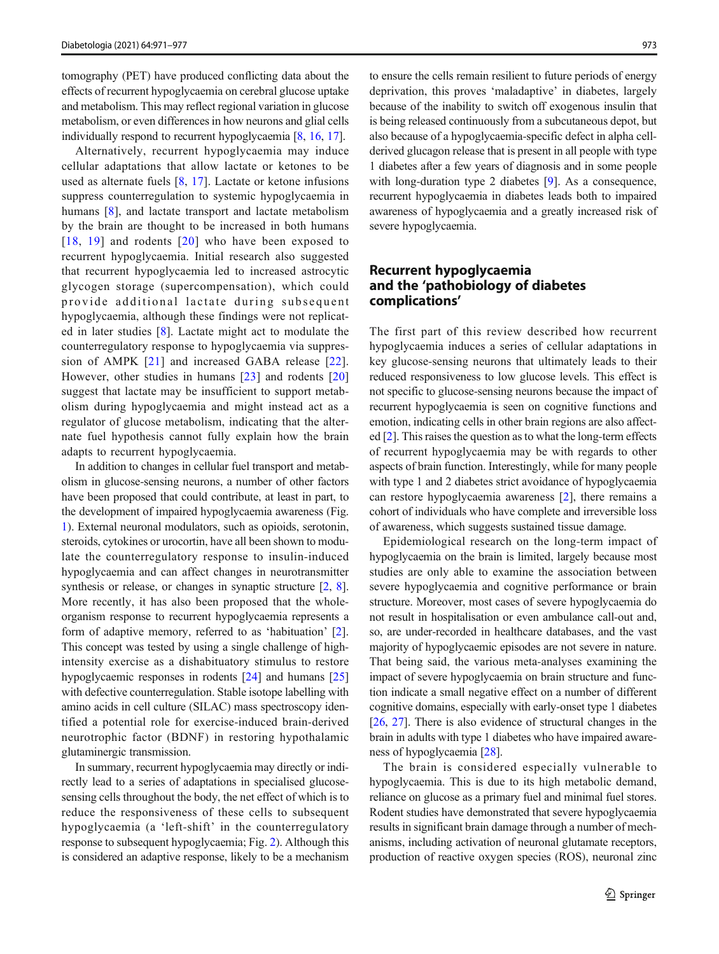tomography (PET) have produced conflicting data about the effects of recurrent hypoglycaemia on cerebral glucose uptake and metabolism. This may reflect regional variation in glucose metabolism, or even differences in how neurons and glial cells individually respond to recurrent hypoglycaemia [\[8](#page-5-0), [16,](#page-6-0) [17\]](#page-6-0).

Alternatively, recurrent hypoglycaemia may induce cellular adaptations that allow lactate or ketones to be used as alternate fuels [[8](#page-5-0), [17\]](#page-6-0). Lactate or ketone infusions suppress counterregulation to systemic hypoglycaemia in humans [[8\]](#page-5-0), and lactate transport and lactate metabolism by the brain are thought to be increased in both humans [[18](#page-6-0), [19](#page-6-0)] and rodents [[20\]](#page-6-0) who have been exposed to recurrent hypoglycaemia. Initial research also suggested that recurrent hypoglycaemia led to increased astrocytic glycogen storage (supercompensation), which could provide additional lactate during subsequent hypoglycaemia, although these findings were not replicated in later studies [[8\]](#page-5-0). Lactate might act to modulate the counterregulatory response to hypoglycaemia via suppression of AMPK [[21](#page-6-0)] and increased GABA release [[22](#page-6-0)]. However, other studies in humans [\[23\]](#page-6-0) and rodents [[20\]](#page-6-0) suggest that lactate may be insufficient to support metabolism during hypoglycaemia and might instead act as a regulator of glucose metabolism, indicating that the alternate fuel hypothesis cannot fully explain how the brain adapts to recurrent hypoglycaemia.

In addition to changes in cellular fuel transport and metabolism in glucose-sensing neurons, a number of other factors have been proposed that could contribute, at least in part, to the development of impaired hypoglycaemia awareness (Fig. [1\)](#page-3-0). External neuronal modulators, such as opioids, serotonin, steroids, cytokines or urocortin, have all been shown to modulate the counterregulatory response to insulin-induced hypoglycaemia and can affect changes in neurotransmitter synthesis or release, or changes in synaptic structure [[2,](#page-5-0) [8\]](#page-5-0). More recently, it has also been proposed that the wholeorganism response to recurrent hypoglycaemia represents a form of adaptive memory, referred to as 'habituation' [\[2](#page-5-0)]. This concept was tested by using a single challenge of highintensity exercise as a dishabituatory stimulus to restore hypoglycaemic responses in rodents [[24\]](#page-6-0) and humans [[25\]](#page-6-0) with defective counterregulation. Stable isotope labelling with amino acids in cell culture (SILAC) mass spectroscopy identified a potential role for exercise-induced brain-derived neurotrophic factor (BDNF) in restoring hypothalamic glutaminergic transmission.

In summary, recurrent hypoglycaemia may directly or indirectly lead to a series of adaptations in specialised glucosesensing cells throughout the body, the net effect of which is to reduce the responsiveness of these cells to subsequent hypoglycaemia (a 'left-shift' in the counterregulatory response to subsequent hypoglycaemia; Fig. [2\)](#page-3-0). Although this is considered an adaptive response, likely to be a mechanism to ensure the cells remain resilient to future periods of energy deprivation, this proves 'maladaptive' in diabetes, largely because of the inability to switch off exogenous insulin that is being released continuously from a subcutaneous depot, but also because of a hypoglycaemia-specific defect in alpha cellderived glucagon release that is present in all people with type 1 diabetes after a few years of diagnosis and in some people with long-duration type 2 diabetes [[9\]](#page-5-0). As a consequence, recurrent hypoglycaemia in diabetes leads both to impaired awareness of hypoglycaemia and a greatly increased risk of severe hypoglycaemia.

## Recurrent hypoglycaemia and the 'pathobiology of diabetes complications'

The first part of this review described how recurrent hypoglycaemia induces a series of cellular adaptations in key glucose-sensing neurons that ultimately leads to their reduced responsiveness to low glucose levels. This effect is not specific to glucose-sensing neurons because the impact of recurrent hypoglycaemia is seen on cognitive functions and emotion, indicating cells in other brain regions are also affected [\[2](#page-5-0)]. This raises the question as to what the long-term effects of recurrent hypoglycaemia may be with regards to other aspects of brain function. Interestingly, while for many people with type 1 and 2 diabetes strict avoidance of hypoglycaemia can restore hypoglycaemia awareness [[2\]](#page-5-0), there remains a cohort of individuals who have complete and irreversible loss of awareness, which suggests sustained tissue damage.

Epidemiological research on the long-term impact of hypoglycaemia on the brain is limited, largely because most studies are only able to examine the association between severe hypoglycaemia and cognitive performance or brain structure. Moreover, most cases of severe hypoglycaemia do not result in hospitalisation or even ambulance call-out and, so, are under-recorded in healthcare databases, and the vast majority of hypoglycaemic episodes are not severe in nature. That being said, the various meta-analyses examining the impact of severe hypoglycaemia on brain structure and function indicate a small negative effect on a number of different cognitive domains, especially with early-onset type 1 diabetes [\[26](#page-6-0), [27\]](#page-6-0). There is also evidence of structural changes in the brain in adults with type 1 diabetes who have impaired awareness of hypoglycaemia [\[28](#page-6-0)].

The brain is considered especially vulnerable to hypoglycaemia. This is due to its high metabolic demand, reliance on glucose as a primary fuel and minimal fuel stores. Rodent studies have demonstrated that severe hypoglycaemia results in significant brain damage through a number of mechanisms, including activation of neuronal glutamate receptors, production of reactive oxygen species (ROS), neuronal zinc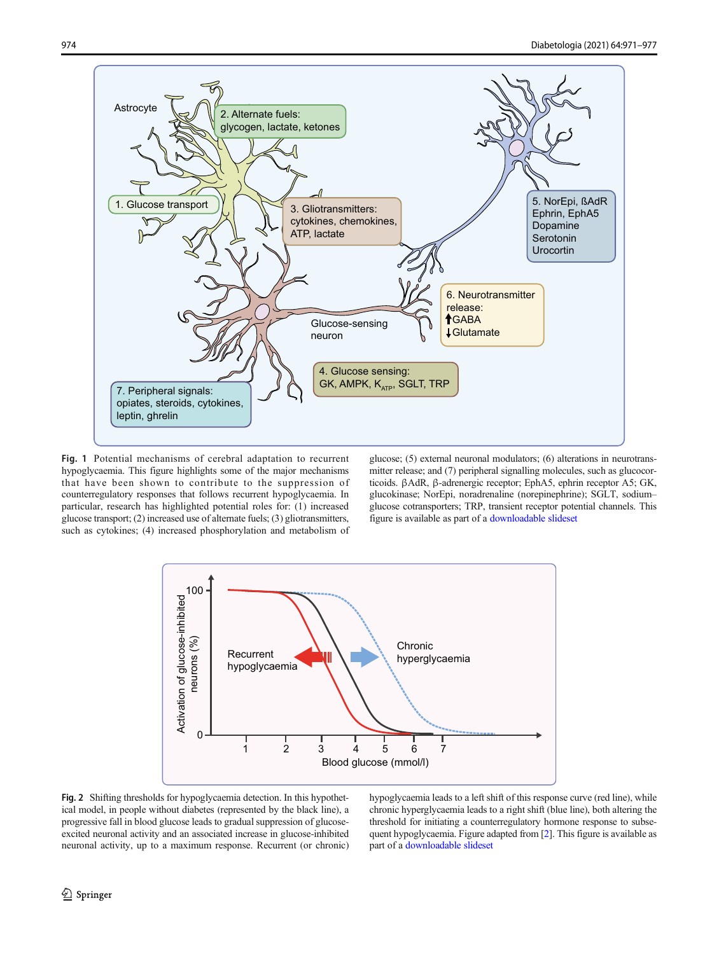<span id="page-3-0"></span>

Fig. 1 Potential mechanisms of cerebral adaptation to recurrent hypoglycaemia. This figure highlights some of the major mechanisms that have been shown to contribute to the suppression of counterregulatory responses that follows recurrent hypoglycaemia. In particular, research has highlighted potential roles for: (1) increased glucose transport; (2) increased use of alternate fuels; (3) gliotransmitters, such as cytokines; (4) increased phosphorylation and metabolism of

glucose; (5) external neuronal modulators; (6) alterations in neurotransmitter release; and (7) peripheral signalling molecules, such as glucocorticoids. βAdR, β-adrenergic receptor; EphA5, ephrin receptor A5; GK, glucokinase; NorEpi, noradrenaline (norepinephrine); SGLT, sodium– glucose cotransporters; TRP, transient receptor potential channels. This figure is available as part of a [downloadable slideset](https://static-content.springer.com/esm/art%3A10.1007%2Fs00125-020-05369-0/MediaObjects/125_2020_5369_MOESM1_ESM.pptx)



Fig. 2 Shifting thresholds for hypoglycaemia detection. In this hypothetical model, in people without diabetes (represented by the black line), a progressive fall in blood glucose leads to gradual suppression of glucoseexcited neuronal activity and an associated increase in glucose-inhibited neuronal activity, up to a maximum response. Recurrent (or chronic) hypoglycaemia leads to a left shift of this response curve (red line), while chronic hyperglycaemia leads to a right shift (blue line), both altering the threshold for initiating a counterregulatory hormone response to subsequent hypoglycaemia. Figure adapted from [[2\]](#page-5-0). This figure is available as part of a [downloadable slideset](https://static-content.springer.com/esm/art%3A10.1007%2Fs00125-020-05369-0/MediaObjects/125_2020_5369_MOESM1_ESM.pptx)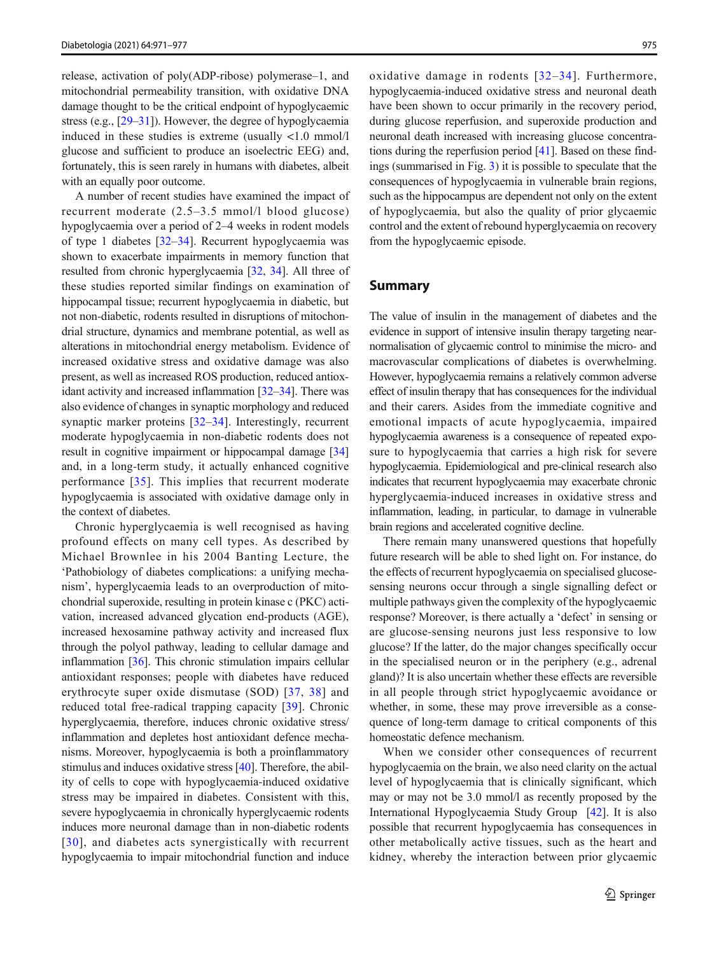release, activation of poly(ADP-ribose) polymerase–1, and mitochondrial permeability transition, with oxidative DNA damage thought to be the critical endpoint of hypoglycaemic stress (e.g., [\[29](#page-6-0)–[31\]](#page-6-0)). However, the degree of hypoglycaemia induced in these studies is extreme (usually <1.0 mmol/l glucose and sufficient to produce an isoelectric EEG) and, fortunately, this is seen rarely in humans with diabetes, albeit with an equally poor outcome.

A number of recent studies have examined the impact of recurrent moderate (2.5–3.5 mmol/l blood glucose) hypoglycaemia over a period of 2–4 weeks in rodent models of type 1 diabetes [\[32](#page-6-0)–[34](#page-6-0)]. Recurrent hypoglycaemia was shown to exacerbate impairments in memory function that resulted from chronic hyperglycaemia [\[32,](#page-6-0) [34\]](#page-6-0). All three of these studies reported similar findings on examination of hippocampal tissue; recurrent hypoglycaemia in diabetic, but not non-diabetic, rodents resulted in disruptions of mitochondrial structure, dynamics and membrane potential, as well as alterations in mitochondrial energy metabolism. Evidence of increased oxidative stress and oxidative damage was also present, as well as increased ROS production, reduced antioxidant activity and increased inflammation [[32](#page-6-0)–[34](#page-6-0)]. There was also evidence of changes in synaptic morphology and reduced synaptic marker proteins [\[32](#page-6-0)–[34\]](#page-6-0). Interestingly, recurrent moderate hypoglycaemia in non-diabetic rodents does not result in cognitive impairment or hippocampal damage [\[34\]](#page-6-0) and, in a long-term study, it actually enhanced cognitive performance [[35\]](#page-6-0). This implies that recurrent moderate hypoglycaemia is associated with oxidative damage only in the context of diabetes.

Chronic hyperglycaemia is well recognised as having profound effects on many cell types. As described by Michael Brownlee in his 2004 Banting Lecture, the 'Pathobiology of diabetes complications: a unifying mechanism', hyperglycaemia leads to an overproduction of mitochondrial superoxide, resulting in protein kinase c (PKC) activation, increased advanced glycation end-products (AGE), increased hexosamine pathway activity and increased flux through the polyol pathway, leading to cellular damage and inflammation [[36](#page-6-0)]. This chronic stimulation impairs cellular antioxidant responses; people with diabetes have reduced erythrocyte super oxide dismutase (SOD) [[37](#page-6-0), [38\]](#page-6-0) and reduced total free-radical trapping capacity [[39\]](#page-6-0). Chronic hyperglycaemia, therefore, induces chronic oxidative stress/ inflammation and depletes host antioxidant defence mechanisms. Moreover, hypoglycaemia is both a proinflammatory stimulus and induces oxidative stress [\[40\]](#page-6-0). Therefore, the ability of cells to cope with hypoglycaemia-induced oxidative stress may be impaired in diabetes. Consistent with this, severe hypoglycaemia in chronically hyperglycaemic rodents induces more neuronal damage than in non-diabetic rodents [[30\]](#page-6-0), and diabetes acts synergistically with recurrent hypoglycaemia to impair mitochondrial function and induce oxidative damage in rodents [[32](#page-6-0)–[34](#page-6-0)]. Furthermore, hypoglycaemia-induced oxidative stress and neuronal death have been shown to occur primarily in the recovery period, during glucose reperfusion, and superoxide production and neuronal death increased with increasing glucose concentrations during the reperfusion period [[41](#page-6-0)]. Based on these findings (summarised in Fig. [3](#page-5-0)) it is possible to speculate that the consequences of hypoglycaemia in vulnerable brain regions, such as the hippocampus are dependent not only on the extent of hypoglycaemia, but also the quality of prior glycaemic control and the extent of rebound hyperglycaemia on recovery from the hypoglycaemic episode.

## Summary

The value of insulin in the management of diabetes and the evidence in support of intensive insulin therapy targeting nearnormalisation of glycaemic control to minimise the micro- and macrovascular complications of diabetes is overwhelming. However, hypoglycaemia remains a relatively common adverse effect of insulin therapy that has consequences for the individual and their carers. Asides from the immediate cognitive and emotional impacts of acute hypoglycaemia, impaired hypoglycaemia awareness is a consequence of repeated exposure to hypoglycaemia that carries a high risk for severe hypoglycaemia. Epidemiological and pre-clinical research also indicates that recurrent hypoglycaemia may exacerbate chronic hyperglycaemia-induced increases in oxidative stress and inflammation, leading, in particular, to damage in vulnerable brain regions and accelerated cognitive decline.

There remain many unanswered questions that hopefully future research will be able to shed light on. For instance, do the effects of recurrent hypoglycaemia on specialised glucosesensing neurons occur through a single signalling defect or multiple pathways given the complexity of the hypoglycaemic response? Moreover, is there actually a 'defect' in sensing or are glucose-sensing neurons just less responsive to low glucose? If the latter, do the major changes specifically occur in the specialised neuron or in the periphery (e.g., adrenal gland)? It is also uncertain whether these effects are reversible in all people through strict hypoglycaemic avoidance or whether, in some, these may prove irreversible as a consequence of long-term damage to critical components of this homeostatic defence mechanism.

When we consider other consequences of recurrent hypoglycaemia on the brain, we also need clarity on the actual level of hypoglycaemia that is clinically significant, which may or may not be 3.0 mmol/l as recently proposed by the International Hypoglycaemia Study Group [\[42](#page-6-0)]. It is also possible that recurrent hypoglycaemia has consequences in other metabolically active tissues, such as the heart and kidney, whereby the interaction between prior glycaemic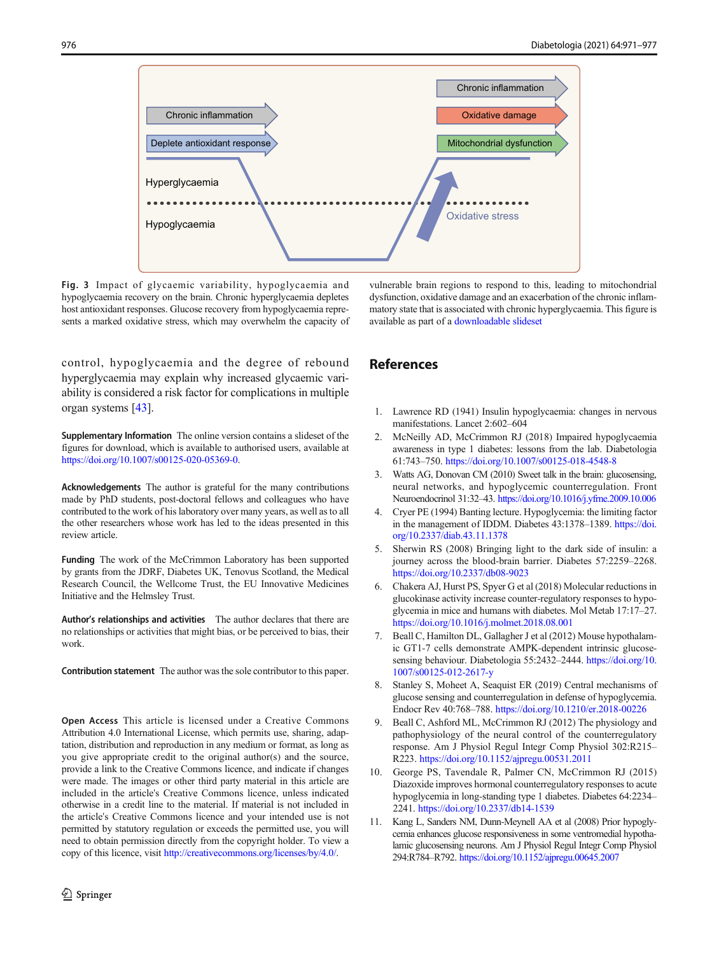<span id="page-5-0"></span>

Fig. 3 Impact of glycaemic variability, hypoglycaemia and hypoglycaemia recovery on the brain. Chronic hyperglycaemia depletes host antioxidant responses. Glucose recovery from hypoglycaemia represents a marked oxidative stress, which may overwhelm the capacity of

control, hypoglycaemia and the degree of rebound hyperglycaemia may explain why increased glycaemic variability is considered a risk factor for complications in multiple organ systems [\[43\]](#page-6-0).

Supplementary Information The online version contains a slideset of the figures for download, which is available to authorised users, available at [https://doi.org/10.1007/s00125-020-05369-0](#page-0-0).

Acknowledgements The author is grateful for the many contributions made by PhD students, post-doctoral fellows and colleagues who have contributed to the work of his laboratory over many years, as well as to all the other researchers whose work has led to the ideas presented in this review article.

Funding The work of the McCrimmon Laboratory has been supported by grants from the JDRF, Diabetes UK, Tenovus Scotland, the Medical Research Council, the Wellcome Trust, the EU Innovative Medicines Initiative and the Helmsley Trust.

Author's relationships and activities The author declares that there are no relationships or activities that might bias, or be perceived to bias, their work.

Contribution statement The author was the sole contributor to this paper.

Open Access This article is licensed under a Creative Commons Attribution 4.0 International License, which permits use, sharing, adaptation, distribution and reproduction in any medium or format, as long as you give appropriate credit to the original author(s) and the source, provide a link to the Creative Commons licence, and indicate if changes were made. The images or other third party material in this article are included in the article's Creative Commons licence, unless indicated otherwise in a credit line to the material. If material is not included in the article's Creative Commons licence and your intended use is not permitted by statutory regulation or exceeds the permitted use, you will need to obtain permission directly from the copyright holder. To view a copy of this licence, visit [http://creativecommons.org/licenses/by/4.0/.](https://doi.org/)

vulnerable brain regions to respond to this, leading to mitochondrial dysfunction, oxidative damage and an exacerbation of the chronic inflammatory state that is associated with chronic hyperglycaemia. This figure is available as part of a [downloadable slideset](https://static-content.springer.com/esm/art%3A10.1007%2Fs00125-020-05369-0/MediaObjects/125_2020_5369_MOESM1_ESM.pptx)

## References

- 1. Lawrence RD (1941) Insulin hypoglycaemia: changes in nervous manifestations. Lancet 2:602–604
- 2. McNeilly AD, McCrimmon RJ (2018) Impaired hypoglycaemia awareness in type 1 diabetes: lessons from the lab. Diabetologia 61:743–750. <https://doi.org/10.1007/s00125-018-4548-8>
- 3. Watts AG, Donovan CM (2010) Sweet talk in the brain: glucosensing, neural networks, and hypoglycemic counterregulation. Front Neuroendocrinol 31:32–43. <https://doi.org/10.1016/j.yfrne.2009.10.006>
- 4. Cryer PE (1994) Banting lecture. Hypoglycemia: the limiting factor in the management of IDDM. Diabetes 43:1378–1389. [https://doi.](https://doi.org/10.2337/diab.43.11.1378) [org/10.2337/diab.43.11.1378](https://doi.org/10.2337/diab.43.11.1378)
- 5. Sherwin RS (2008) Bringing light to the dark side of insulin: a journey across the blood-brain barrier. Diabetes 57:2259–2268. <https://doi.org/10.2337/db08-9023>
- 6. Chakera AJ, Hurst PS, Spyer G et al (2018) Molecular reductions in glucokinase activity increase counter-regulatory responses to hypoglycemia in mice and humans with diabetes. Mol Metab 17:17–27. <https://doi.org/10.1016/j.molmet.2018.08.001>
- 7. Beall C, Hamilton DL, Gallagher J et al (2012) Mouse hypothalamic GT1-7 cells demonstrate AMPK-dependent intrinsic glucosesensing behaviour. Diabetologia 55:2432–2444. [https://doi.org/10.](https://doi.org/10.1007/s00125-012-2617-y) [1007/s00125-012-2617-y](https://doi.org/10.1007/s00125-012-2617-y)
- 8. Stanley S, Moheet A, Seaquist ER (2019) Central mechanisms of glucose sensing and counterregulation in defense of hypoglycemia. Endocr Rev 40:768–788. <https://doi.org/10.1210/er.2018-00226>
- 9. Beall C, Ashford ML, McCrimmon RJ (2012) The physiology and pathophysiology of the neural control of the counterregulatory response. Am J Physiol Regul Integr Comp Physiol 302:R215– R223. <https://doi.org/10.1152/ajpregu.00531.2011>
- 10. George PS, Tavendale R, Palmer CN, McCrimmon RJ (2015) Diazoxide improves hormonal counterregulatory responses to acute hypoglycemia in long-standing type 1 diabetes. Diabetes 64:2234– 2241. [https://doi.org/10.2337/db14-1539](#page-0-0)
- 11. Kang L, Sanders NM, Dunn-Meynell AA et al (2008) Prior hypoglycemia enhances glucose responsiveness in some ventromedial hypothalamic glucosensing neurons. Am J Physiol Regul Integr Comp Physiol 294:R784–R792. <https://doi.org/10.1152/ajpregu.00645.2007>